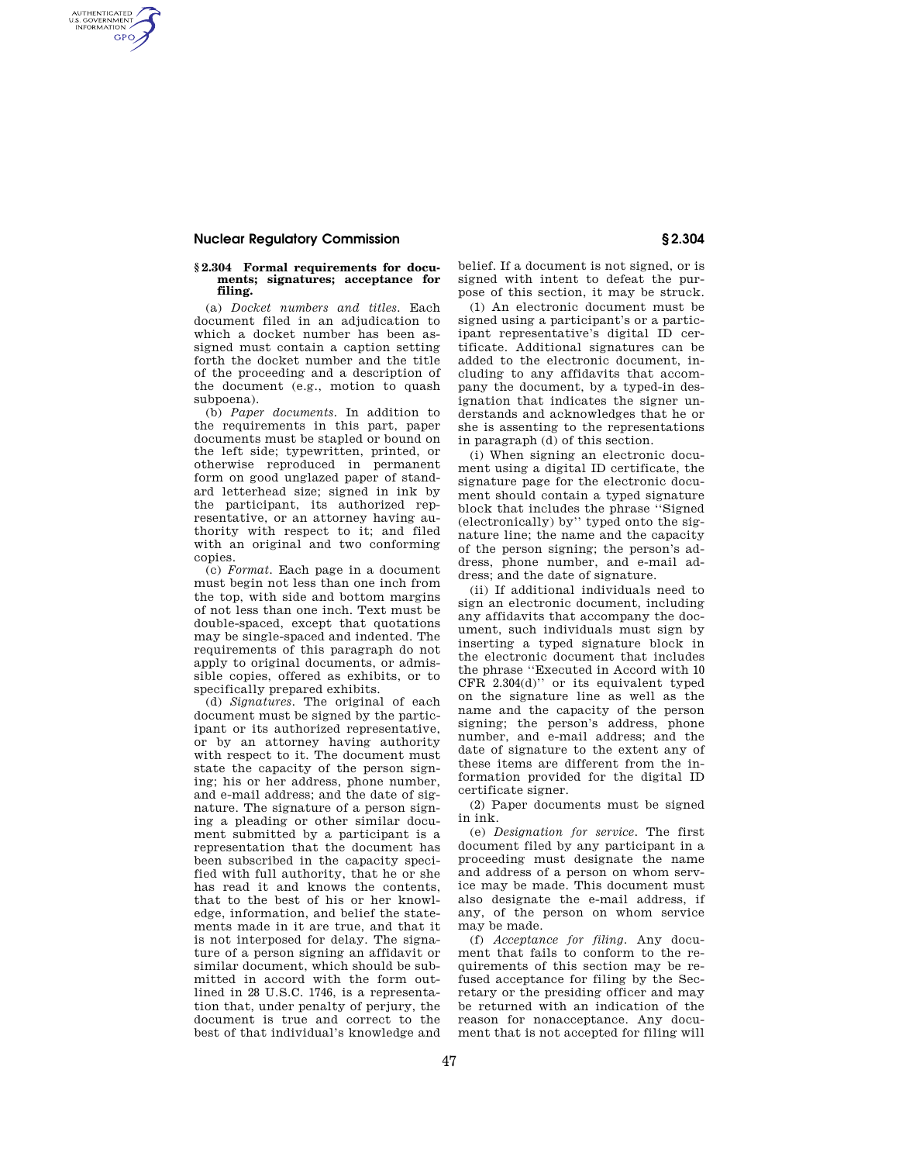## **Nuclear Regulatory Commission § 2.304**

AUTHENTICATED<br>U.S. GOVERNMENT<br>INFORMATION **GPO** 

## **§ 2.304 Formal requirements for documents; signatures; acceptance for filing.**

(a) *Docket numbers and titles.* Each document filed in an adjudication to which a docket number has been assigned must contain a caption setting forth the docket number and the title of the proceeding and a description of the document (e.g., motion to quash subpoena).

(b) *Paper documents.* In addition to the requirements in this part, paper documents must be stapled or bound on the left side; typewritten, printed, or otherwise reproduced in permanent form on good unglazed paper of standard letterhead size; signed in ink by the participant, its authorized representative, or an attorney having authority with respect to it; and filed with an original and two conforming copies.

(c) *Format.* Each page in a document must begin not less than one inch from the top, with side and bottom margins of not less than one inch. Text must be double-spaced, except that quotations may be single-spaced and indented. The requirements of this paragraph do not apply to original documents, or admissible copies, offered as exhibits, or to specifically prepared exhibits.

(d) *Signatures.* The original of each document must be signed by the participant or its authorized representative, or by an attorney having authority with respect to it. The document must state the capacity of the person signing; his or her address, phone number, and e-mail address; and the date of signature. The signature of a person signing a pleading or other similar document submitted by a participant is a representation that the document has been subscribed in the capacity specified with full authority, that he or she has read it and knows the contents, that to the best of his or her knowledge, information, and belief the statements made in it are true, and that it is not interposed for delay. The signature of a person signing an affidavit or similar document, which should be submitted in accord with the form outlined in 28 U.S.C. 1746, is a representation that, under penalty of perjury, the document is true and correct to the best of that individual's knowledge and

belief. If a document is not signed, or is signed with intent to defeat the purpose of this section, it may be struck.

(1) An electronic document must be signed using a participant's or a participant representative's digital ID certificate. Additional signatures can be added to the electronic document, including to any affidavits that accompany the document, by a typed-in designation that indicates the signer understands and acknowledges that he or she is assenting to the representations in paragraph (d) of this section.

(i) When signing an electronic document using a digital ID certificate, the signature page for the electronic document should contain a typed signature block that includes the phrase ''Signed (electronically) by'' typed onto the signature line; the name and the capacity of the person signing; the person's address, phone number, and e-mail address; and the date of signature.

(ii) If additional individuals need to sign an electronic document, including any affidavits that accompany the document, such individuals must sign by inserting a typed signature block in the electronic document that includes the phrase ''Executed in Accord with 10 CFR 2.304(d)'' or its equivalent typed on the signature line as well as the name and the capacity of the person signing; the person's address, phone number, and e-mail address; and the date of signature to the extent any of these items are different from the information provided for the digital ID certificate signer.

(2) Paper documents must be signed in ink.

(e) *Designation for service.* The first document filed by any participant in a proceeding must designate the name and address of a person on whom service may be made. This document must also designate the e-mail address, if any, of the person on whom service may be made.

(f) *Acceptance for filing.* Any document that fails to conform to the requirements of this section may be refused acceptance for filing by the Secretary or the presiding officer and may be returned with an indication of the reason for nonacceptance. Any document that is not accepted for filing will